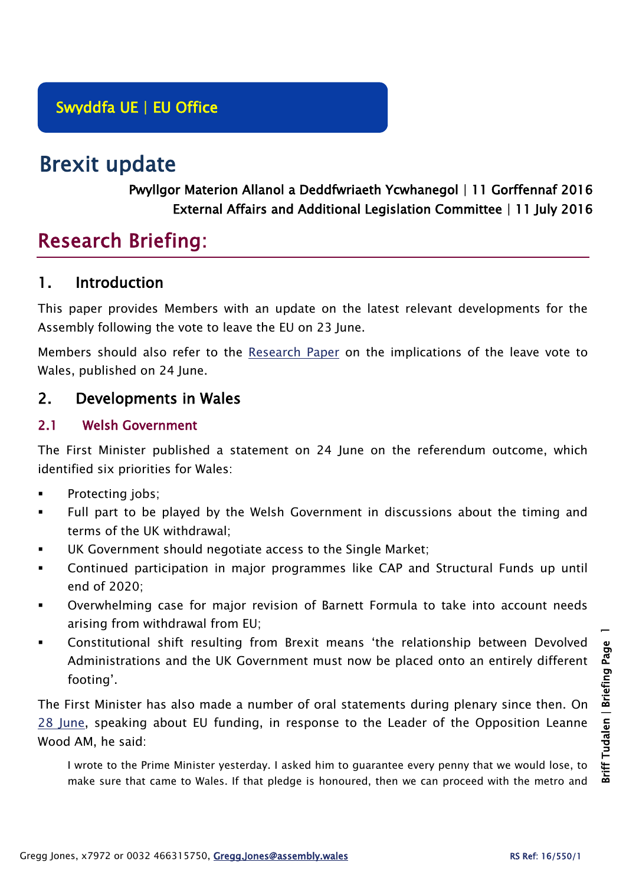# Brexit update

Pwyllgor Materion Allanol a Deddfwriaeth Ycwhanegol | 11 Gorffennaf 2016 External Affairs and Additional Legislation Committee | 11 July 2016

# Research Briefing:

# 1. Introduction

This paper provides Members with an update on the latest relevant developments for the Assembly following the vote to leave the EU on 23 June.

Members should also refer to the [Research Paper](https://assemblyinbrief.wordpress.com/2016/06/24/eu-referendum-results-in-wales/) on the implications of the leave vote to Wales, published on 24 June.

# 2. Developments in Wales

#### 2.1 Welsh Government

The First Minister published a statement on 24 June on the referendum outcome, which identified six priorities for Wales:

- Protecting jobs;
- Full part to be played by the Welsh Government in discussions about the timing and terms of the UK withdrawal;
- UK Government should negotiate access to the Single Market;
- Continued participation in major programmes like CAP and Structural Funds up until end of 2020;
- Overwhelming case for major revision of Barnett Formula to take into account needs arising from withdrawal from EU;
- Constitutional shift resulting from Brexit means 'the relationship between Devolved Administrations and the UK Government must now be placed onto an entirely different footing'.

The First Minister has also made a number of oral statements during plenary since then. On [28 June,](http://www.assembly.wales/en/bus-home/pages/rop.aspx?meetingid=3612&assembly=5&c=Record%20of%20Proceedings) speaking about EU funding, in response to the Leader of the Opposition Leanne Wood AM, he said:

I wrote to the Prime Minister yesterday. I asked him to guarantee every penny that we would lose, to make sure that came to Wales. If that pledge is honoured, then we can proceed with the metro and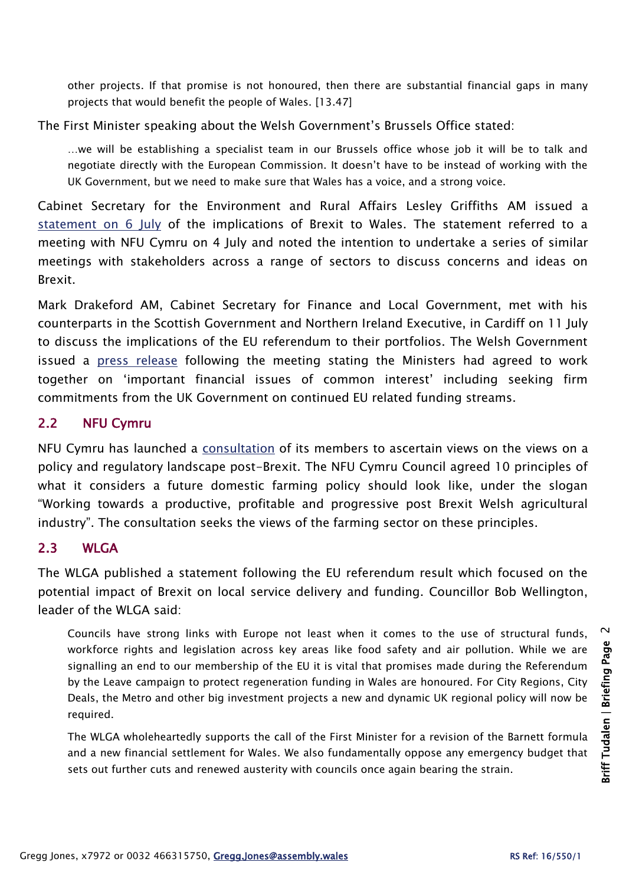other projects. If that promise is not honoured, then there are substantial financial gaps in many projects that would benefit the people of Wales. [13.47]

The First Minister speaking about the Welsh Government's Brussels Office stated:

…we will be establishing a specialist team in our Brussels office whose job it will be to talk and negotiate directly with the European Commission. It doesn't have to be instead of working with the UK Government, but we need to make sure that Wales has a voice, and a strong voice.

Cabinet Secretary for the Environment and Rural Affairs Lesley Griffiths AM issued a [statement on 6 July](http://gov.wales/about/cabinet/cabinetstatements/2016-new/euexit/?lang=en) of the implications of Brexit to Wales. The statement referred to a meeting with NFU Cymru on 4 July and noted the intention to undertake a series of similar meetings with stakeholders across a range of sectors to discuss concerns and ideas on Brexit.

Mark Drakeford AM, Cabinet Secretary for Finance and Local Government, met with his counterparts in the Scottish Government and Northern Ireland Executive, in Cardiff on 11 July to discuss the implications of the EU referendum to their portfolios. The Welsh Government issued a [press release](http://gov.wales/newsroom/finance1/2016/58421441/?lang=en) following the meeting stating the Ministers had agreed to work together on 'important financial issues of common interest' including seeking firm commitments from the UK Government on continued EU related funding streams.

#### 2.2 NFU Cymru

NFU Cymru has launched a [consultation](https://www.nfu-cymru.org.uk/news/latest-news/nfu-cymru-seeks-views-in-post-brexit-consultation/) of its members to ascertain views on the views on a policy and regulatory landscape post-Brexit. The NFU Cymru Council agreed 10 principles of what it considers a future domestic farming policy should look like, under the slogan "Working towards a productive, profitable and progressive post Brexit Welsh agricultural industry". The consultation seeks the views of the farming sector on these principles.

#### $2.3$  WI GA

The WLGA published a statement following the EU referendum result which focused on the potential impact of Brexit on local service delivery and funding. Councillor Bob Wellington, leader of the WLGA said:

Councils have strong links with Europe not least when it comes to the use of structural funds, workforce rights and legislation across key areas like food safety and air pollution. While we are signalling an end to our membership of the EU it is vital that promises made during the Referendum by the Leave campaign to protect regeneration funding in Wales are honoured. For City Regions, City Deals, the Metro and other big investment projects a new and dynamic UK regional policy will now be required.

The WLGA wholeheartedly supports the call of the First Minister for a revision of the Barnett formula and a new financial settlement for Wales. We also fundamentally oppose any emergency budget that sets out further cuts and renewed austerity with councils once again bearing the strain.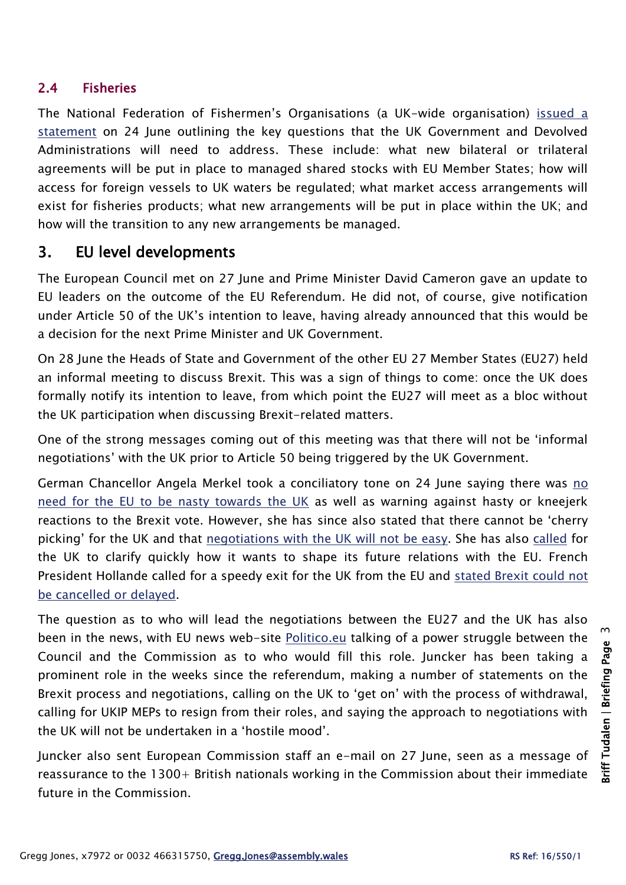#### 2.4 Fisheries

The National Federation of Fishermen's Organisations (a UK-wide organisation) [issued a](http://nffo.org.uk/news/brexit.html)  [statement](http://nffo.org.uk/news/brexit.html) on 24 June outlining the key questions that the UK Government and Devolved Administrations will need to address. These include: what new bilateral or trilateral agreements will be put in place to managed shared stocks with EU Member States; how will access for foreign vessels to UK waters be regulated; what market access arrangements will exist for fisheries products; what new arrangements will be put in place within the UK; and how will the transition to any new arrangements be managed.

# 3. EU level developments

The European Council met on 27 June and Prime Minister David Cameron gave an update to EU leaders on the outcome of the EU Referendum. He did not, of course, give notification under Article 50 of the UK's intention to leave, having already announced that this would be a decision for the next Prime Minister and UK Government.

On 28 June the Heads of State and Government of the other EU 27 Member States (EU27) held an informal meeting to discuss Brexit. This was a sign of things to come: once the UK does formally notify its intention to leave, from which point the EU27 will meet as a bloc without the UK participation when discussing Brexit-related matters.

One of the strong messages coming out of this meeting was that there will not be 'informal negotiations' with the UK prior to Article 50 being triggered by the UK Government.

German Chancellor Angela Merkel took a conciliatory tone on 24 June saying there was [no](http://www.euronews.com/2016/06/25/no-need-to-be-nasty-merkel-wants-clear-headed-brexit-talks/)  [need for the EU to be nasty towards the UK](http://www.euronews.com/2016/06/25/no-need-to-be-nasty-merkel-wants-clear-headed-brexit-talks/) as well as warning against hasty or kneejerk reactions to the Brexit vote. However, she has since also stated that there cannot be 'cherry picking' for the UK and that [negotiations with the UK will not be easy.](http://www.bbc.co.uk/news/world-europe-36764945) She has also [called](http://www.independent.co.uk/news/uk/politics/brexit-eu-referendum-angela-merkel-article-50-leave-europe-negotiations-talks-a7132261.html) for the UK to clarify quickly how it wants to shape its future relations with the EU. French President Hollande called for a speedy exit for the UK from the EU and [stated Brexit could not](https://www.theguardian.com/world/2016/jul/01/brexit-cannot-be-cancelled-or-delayed-says-francois-hollande)  [be cancelled or delayed.](https://www.theguardian.com/world/2016/jul/01/brexit-cannot-be-cancelled-or-delayed-says-francois-hollande)

The question as to who will lead the negotiations between the EU27 and the UK has also been in the news, with EU news web-site [Politico.eu](http://www.politico.eu/article/brussels-power-struggle-over-brexit-negotiations/) talking of a power struggle between the Council and the Commission as to who would fill this role. Juncker has been taking a prominent role in the weeks since the referendum, making a number of statements on the Brexit process and negotiations, calling on the UK to 'get on' with the process of withdrawal, calling for UKIP MEPs to resign from their roles, and saying the approach to negotiations with the UK will not be undertaken in a 'hostile mood'.

Juncker also sent European Commission staff an e-mail on 27 June, seen as a message of reassurance to the 1300+ British nationals working in the Commission about their immediate future in the Commission.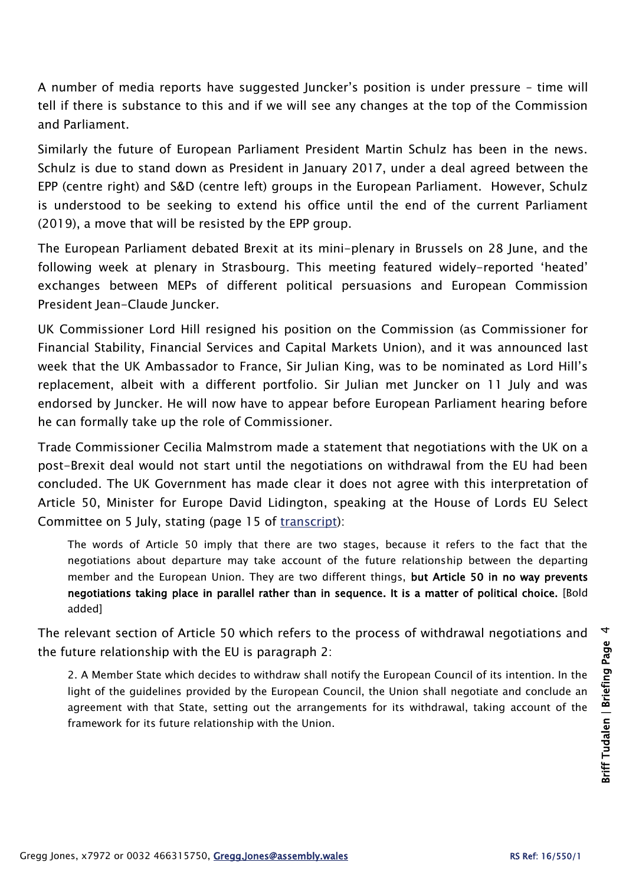A number of media reports have suggested Juncker's position is under pressure – time will tell if there is substance to this and if we will see any changes at the top of the Commission and Parliament.

Similarly the future of European Parliament President Martin Schulz has been in the news. Schulz is due to stand down as President in January 2017, under a deal agreed between the EPP (centre right) and S&D (centre left) groups in the European Parliament. However, Schulz is understood to be seeking to extend his office until the end of the current Parliament (2019), a move that will be resisted by the EPP group.

The European Parliament debated Brexit at its mini-plenary in Brussels on 28 June, and the following week at plenary in Strasbourg. This meeting featured widely-reported 'heated' exchanges between MEPs of different political persuasions and European Commission President Jean-Claude Juncker.

UK Commissioner Lord Hill resigned his position on the Commission (as Commissioner for Financial Stability, Financial Services and Capital Markets Union), and it was announced last week that the UK Ambassador to France, Sir Julian King, was to be nominated as Lord Hill's replacement, albeit with a different portfolio. Sir Julian met Juncker on 11 July and was endorsed by Juncker. He will now have to appear before European Parliament hearing before he can formally take up the role of Commissioner.

Trade Commissioner Cecilia Malmstrom made a statement that negotiations with the UK on a post-Brexit deal would not start until the negotiations on withdrawal from the EU had been concluded. The UK Government has made clear it does not agree with this interpretation of Article 50, Minister for Europe David Lidington, speaking at the House of Lords EU Select Committee on 5 July, stating (page 15 of [transcript\)](http://www.parliament.uk/business/committees/committees-a-z/lords-select/eu-select-committee-/news-parliament-2015/june-post-council-evidence-ministers/):

The words of Article 50 imply that there are two stages, because it refers to the fact that the negotiations about departure may take account of the future relationship between the departing member and the European Union. They are two different things, but Article 50 in no way prevents negotiations taking place in parallel rather than in sequence. It is a matter of political choice. [Bold added]

The relevant section of Article 50 which refers to the process of withdrawal negotiations and the future relationship with the EU is paragraph 2:

2. A Member State which decides to withdraw shall notify the European Council of its intention. In the light of the guidelines provided by the European Council, the Union shall negotiate and conclude an agreement with that State, setting out the arrangements for its withdrawal, taking account of the framework for its future relationship with the Union.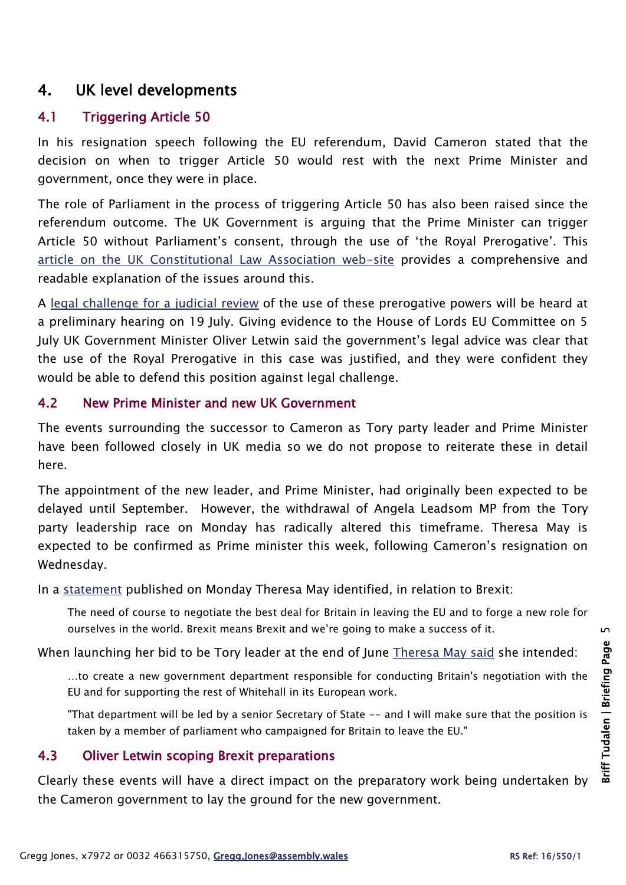# 4. UK level developments

# 4.1 Triggering Article 50

In his resignation speech following the EU referendum, David Cameron stated that the decision on when to trigger Article 50 would rest with the next Prime Minister and government, once they were in place.

The role of Parliament in the process of triggering Article 50 has also been raised since the referendum outcome. The UK Government is arguing that the Prime Minister can trigger Article 50 without Parliament's consent, through the use of 'the Royal Prerogative'. This [article on the UK Constitutional Law Association web-site](https://ukconstitutionallaw.org/2016/07/08/thomas-fairclough-article-50-and-the-royal-prerogative/) provides a comprehensive and readable explanation of the issues around this.

A [legal challenge for](http://www.theguardian.com/politics/2016/jul/08/legal-attempt-prevent-brexit-preliminary-hearing-article-50) a judicial review of the use of these prerogative powers will be heard at a preliminary hearing on 19 July. Giving evidence to the House of Lords EU Committee on 5 July UK Government Minister Oliver Letwin said the government's legal advice was clear that the use of the Royal Prerogative in this case was justified, and they were confident they would be able to defend this position against legal challenge.

#### 4.2 New Prime Minister and new UK Government

The events surrounding the successor to Cameron as Tory party leader and Prime Minister have been followed closely in UK media so we do not propose to reiterate these in detail here.

The appointment of the new leader, and Prime Minister, had originally been expected to be delayed until September. However, the withdrawal of Angela Leadsom MP from the Tory party leadership race on Monday has radically altered this timeframe. Theresa May is expected to be confirmed as Prime minister this week, following Cameron's resignation on Wednesday.

In a [statement](http://tmay.co.uk/) published on Monday Theresa May identified, in relation to Brexit:

The need of course to negotiate the best deal for Britain in leaving the EU and to forge a new role for ourselves in the world. Brexit means Brexit and we're going to make a success of it.

When launching her bid to be Tory leader at the end of June [Theresa May said](http://www.reuters.com/article/us-britain-eu-may-ministers-factbox-idUSKCN0ZS1GB) she intended:

…to create a new government department responsible for conducting Britain's negotiation with the EU and for supporting the rest of Whitehall in its European work.

"That department will be led by a senior Secretary of State -- and I will make sure that the position is taken by a member of parliament who campaigned for Britain to leave the EU."

## 4.3 Oliver Letwin scoping Brexit preparations

Clearly these events will have a direct impact on the preparatory work being undertaken by the Cameron government to lay the ground for the new government.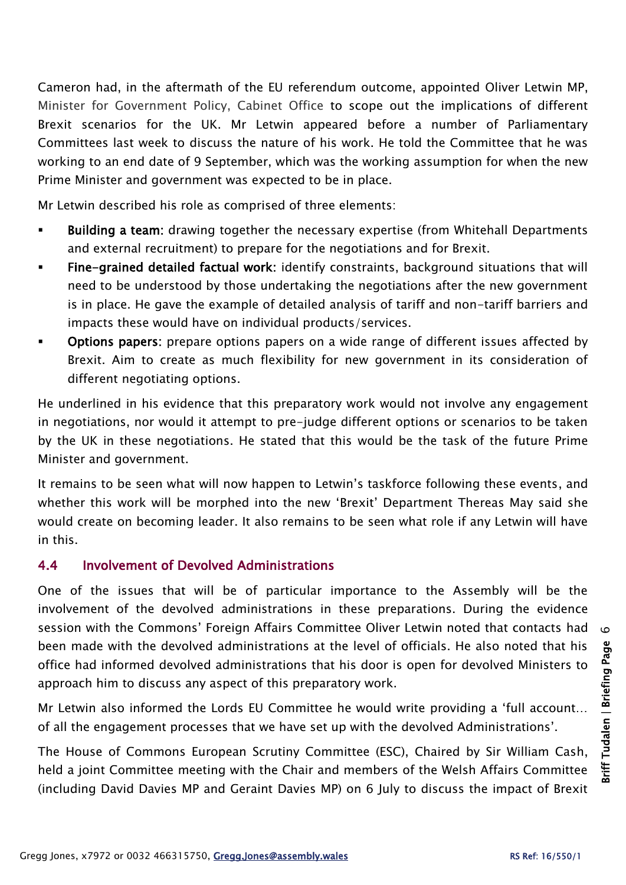Cameron had, in the aftermath of the EU referendum outcome, appointed Oliver Letwin MP, Minister for Government Policy, Cabinet Office to scope out the implications of different Brexit scenarios for the UK. Mr Letwin appeared before a number of Parliamentary Committees last week to discuss the nature of his work. He told the Committee that he was working to an end date of 9 September, which was the working assumption for when the new Prime Minister and government was expected to be in place.

Mr Letwin described his role as comprised of three elements:

- Building a team: drawing together the necessary expertise (from Whitehall Departments and external recruitment) to prepare for the negotiations and for Brexit.
- Fine-grained detailed factual work: identify constraints, background situations that will need to be understood by those undertaking the negotiations after the new government is in place. He gave the example of detailed analysis of tariff and non-tariff barriers and impacts these would have on individual products/services.
- Options papers: prepare options papers on a wide range of different issues affected by Brexit. Aim to create as much flexibility for new government in its consideration of different negotiating options.

He underlined in his evidence that this preparatory work would not involve any engagement in negotiations, nor would it attempt to pre-judge different options or scenarios to be taken by the UK in these negotiations. He stated that this would be the task of the future Prime Minister and government.

It remains to be seen what will now happen to Letwin's taskforce following these events, and whether this work will be morphed into the new 'Brexit' Department Thereas May said she would create on becoming leader. It also remains to be seen what role if any Letwin will have in this.

## 4.4 Involvement of Devolved Administrations

One of the issues that will be of particular importance to the Assembly will be the involvement of the devolved administrations in these preparations. During the evidence session with the Commons' Foreign Affairs Committee Oliver Letwin noted that contacts had been made with the devolved administrations at the level of officials. He also noted that his office had informed devolved administrations that his door is open for devolved Ministers to approach him to discuss any aspect of this preparatory work.

Mr Letwin also informed the Lords EU Committee he would write providing a 'full account… of all the engagement processes that we have set up with the devolved Administrations'.

The House of Commons European Scrutiny Committee (ESC), Chaired by Sir William Cash, held a joint Committee meeting with the Chair and members of the Welsh Affairs Committee (including David Davies MP and Geraint Davies MP) on 6 July to discuss the impact of Brexit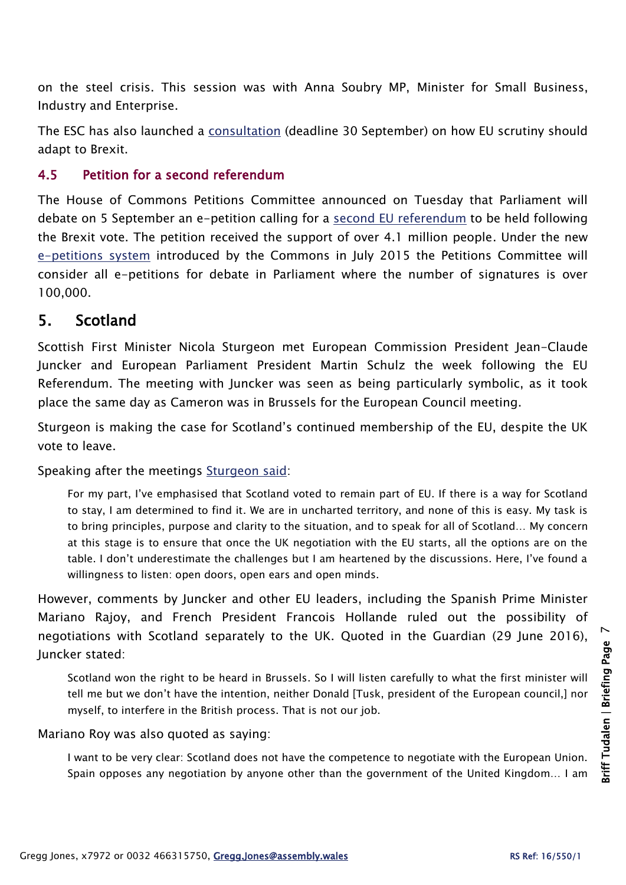on the steel crisis. This session was with Anna Soubry MP, Minister for Small Business, Industry and Enterprise.

The ESC has also launched a [consultation](http://www.parliament.uk/business/committees/committees-a-z/commons-select/european-scrutiny-committee/news-parliament-20151/scrutiny-consultation-launch-16-17/) (deadline 30 September) on how EU scrutiny should adapt to Brexit.

## 4.5 Petition for a second referendum

The House of Commons Petitions Committee announced on Tuesday that Parliament will debate on 5 September an e-petition calling for a [second EU referendum](https://petition.parliament.uk/petitions/131215) to be held following the Brexit vote. The petition received the support of over 4.1 million people. Under the new [e-petitions system](http://www.parliament.uk/get-involved/have-your-say/petitions/e-petitions/) introduced by the Commons in July 2015 the Petitions Committee will consider all e-petitions for debate in Parliament where the number of signatures is over 100,000.

# 5. Scotland

Scottish First Minister Nicola Sturgeon met European Commission President Jean-Claude Juncker and European Parliament President Martin Schulz the week following the EU Referendum. The meeting with Juncker was seen as being particularly symbolic, as it took place the same day as Cameron was in Brussels for the European Council meeting.

Sturgeon is making the case for Scotland's continued membership of the EU, despite the UK vote to leave.

Speaking after the meetings [Sturgeon said:](https://firstminister.gov.scot/3181-2/)

For my part, I've emphasised that Scotland voted to remain part of EU. If there is a way for Scotland to stay, I am determined to find it. We are in uncharted territory, and none of this is easy. My task is to bring principles, purpose and clarity to the situation, and to speak for all of Scotland… My concern at this stage is to ensure that once the UK negotiation with the EU starts, all the options are on the table. I don't underestimate the challenges but I am heartened by the discussions. Here, I've found a willingness to listen: open doors, open ears and open minds.

However, comments by Juncker and other EU leaders, including the Spanish Prime Minister Mariano Rajoy, and French President Francois Hollande ruled out the possibility of negotiations with Scotland separately to the UK. Quoted in the Guardian (29 June 2016), Juncker stated:

Scotland won the right to be heard in Brussels. So I will listen carefully to what the first minister will tell me but we don't have the intention, neither Donald [Tusk, president of the European council,] nor myself, to interfere in the British process. That is not our job.

Mariano Roy was also quoted as saying:

I want to be very clear: Scotland does not have the competence to negotiate with the European Union. Spain opposes any negotiation by anyone other than the government of the United Kingdom… I am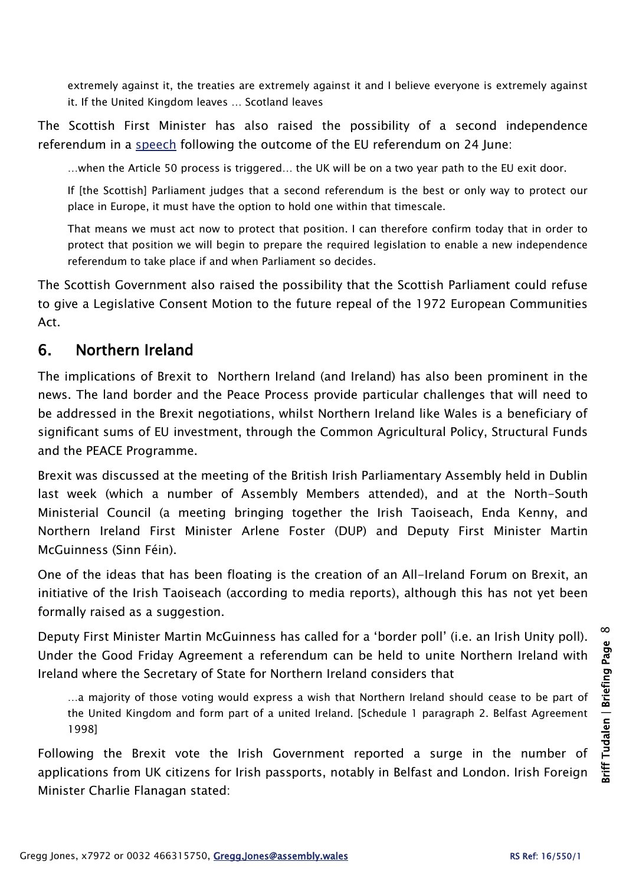extremely against it, the treaties are extremely against it and I believe everyone is extremely against it. If the United Kingdom leaves … Scotland leaves

The Scottish First Minister has also raised the possibility of a second independence referendum in a [speech](http://www.snp.org/statement_on_euref_result_and_it_s_implications_for_scotland) following the outcome of the EU referendum on 24 June:

…when the Article 50 process is triggered… the UK will be on a two year path to the EU exit door.

If [the Scottish] Parliament judges that a second referendum is the best or only way to protect our place in Europe, it must have the option to hold one within that timescale.

That means we must act now to protect that position. I can therefore confirm today that in order to protect that position we will begin to prepare the required legislation to enable a new independence referendum to take place if and when Parliament so decides.

The Scottish Government also raised the possibility that the Scottish Parliament could refuse to give a Legislative Consent Motion to the future repeal of the 1972 European Communities Act.

# 6. Northern Ireland

The implications of Brexit to Northern Ireland (and Ireland) has also been prominent in the news. The land border and the Peace Process provide particular challenges that will need to be addressed in the Brexit negotiations, whilst Northern Ireland like Wales is a beneficiary of significant sums of EU investment, through the Common Agricultural Policy, Structural Funds and the PEACE Programme.

Brexit was discussed at the meeting of the British Irish Parliamentary Assembly held in Dublin last week (which a number of Assembly Members attended), and at the North-South Ministerial Council (a meeting bringing together the Irish Taoiseach, Enda Kenny, and Northern Ireland First Minister Arlene Foster (DUP) and Deputy First Minister Martin McGuinness (Sinn Féin).

One of the ideas that has been floating is the creation of an All-Ireland Forum on Brexit, an initiative of the Irish Taoiseach (according to media reports), although this has not yet been formally raised as a suggestion.

Deputy First Minister Martin McGuinness has called for a 'border poll' (i.e. an Irish Unity poll). Under the Good Friday Agreement a referendum can be held to unite Northern Ireland with Ireland where the Secretary of State for Northern Ireland considers that

…a majority of those voting would express a wish that Northern Ireland should cease to be part of the United Kingdom and form part of a united Ireland. [Schedule 1 paragraph 2. Belfast Agreement 1998]

Following the Brexit vote the Irish Government reported a surge in the number of applications from UK citizens for Irish passports, notably in Belfast and London. Irish Foreign Minister Charlie Flanagan stated: